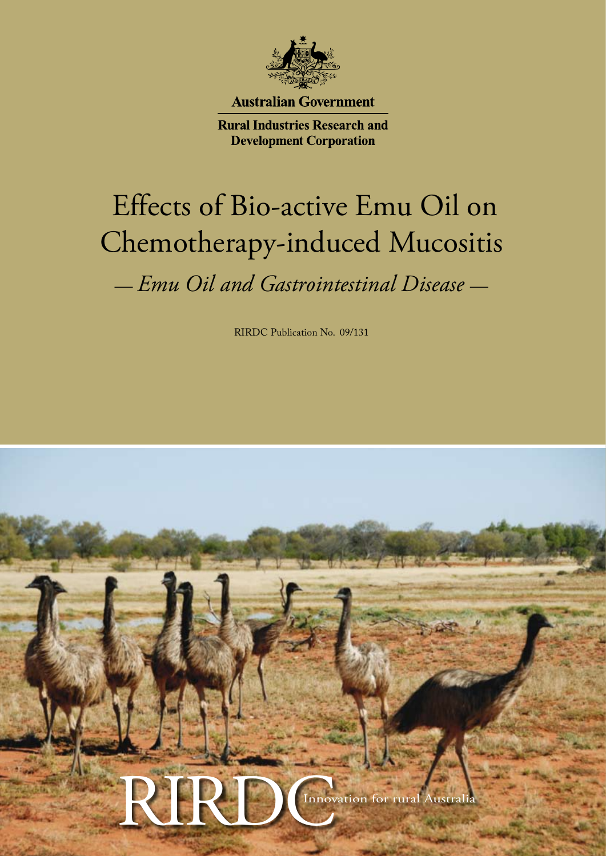

**Australian Government** 

**Rural Industries Research and Development Corporation** 

# Effects of Bio-active Emu Oil on Chemotherapy-induced Mucositis

— *Emu Oil and Gastrointestinal Disease* —

RIRDC Publication No. 09/131

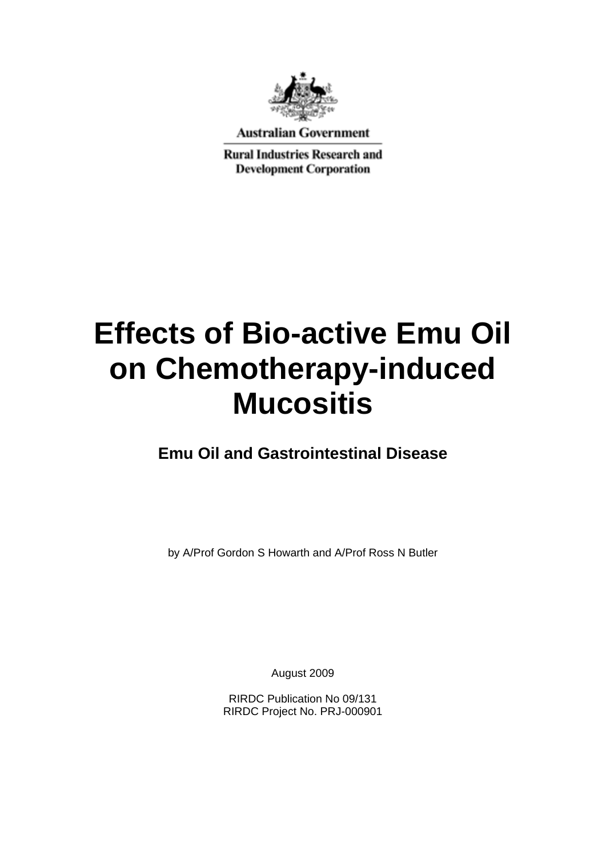

**Australian Government** 

**Rural Industries Research and Development Corporation** 

# **Effects of Bio-active Emu Oil on Chemotherapy-induced Mucositis**

**Emu Oil and Gastrointestinal Disease** 

by A/Prof Gordon S Howarth and A/Prof Ross N Butler

August 2009

RIRDC Publication No 09/131 RIRDC Project No. PRJ-000901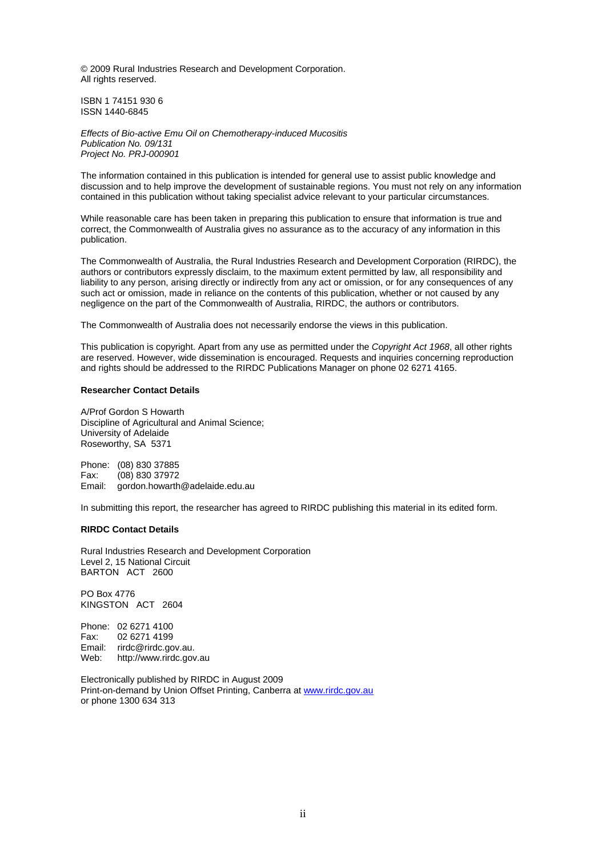© 2009 Rural Industries Research and Development Corporation. All rights reserved.

ISBN 1 74151 930 6 ISSN 1440-6845

*Effects of Bio-active Emu Oil on Chemotherapy-induced Mucositis Publication No. 09/131 Project No. PRJ-000901* 

The information contained in this publication is intended for general use to assist public knowledge and discussion and to help improve the development of sustainable regions. You must not rely on any information contained in this publication without taking specialist advice relevant to your particular circumstances.

While reasonable care has been taken in preparing this publication to ensure that information is true and correct, the Commonwealth of Australia gives no assurance as to the accuracy of any information in this publication.

The Commonwealth of Australia, the Rural Industries Research and Development Corporation (RIRDC), the authors or contributors expressly disclaim, to the maximum extent permitted by law, all responsibility and liability to any person, arising directly or indirectly from any act or omission, or for any consequences of any such act or omission, made in reliance on the contents of this publication, whether or not caused by any negligence on the part of the Commonwealth of Australia, RIRDC, the authors or contributors.

The Commonwealth of Australia does not necessarily endorse the views in this publication.

This publication is copyright. Apart from any use as permitted under the *Copyright Act 1968*, all other rights are reserved. However, wide dissemination is encouraged. Requests and inquiries concerning reproduction and rights should be addressed to the RIRDC Publications Manager on phone 02 6271 4165.

#### **Researcher Contact Details**

A/Prof Gordon S Howarth Discipline of Agricultural and Animal Science; University of Adelaide Roseworthy, SA 5371

Phone: (08) 830 37885 Fax: (08) 830 37972 gordon.howarth@adelaide.edu.au

In submitting this report, the researcher has agreed to RIRDC publishing this material in its edited form.

#### **RIRDC Contact Details**

Rural Industries Research and Development Corporation Level 2, 15 National Circuit BARTON ACT 2600

PO Box 4776 KINGSTON ACT 2604

Phone: 02 6271 4100 Fax: 02 6271 4199 Email: rirdc@rirdc.gov.au. Web: http://www.rirdc.gov.au

Electronically published by RIRDC in August 2009 Print-on-demand by Union Offset Printing, Canberra at [www.rirdc.gov.au](http://www.rirdc.gov.au/)  or phone 1300 634 313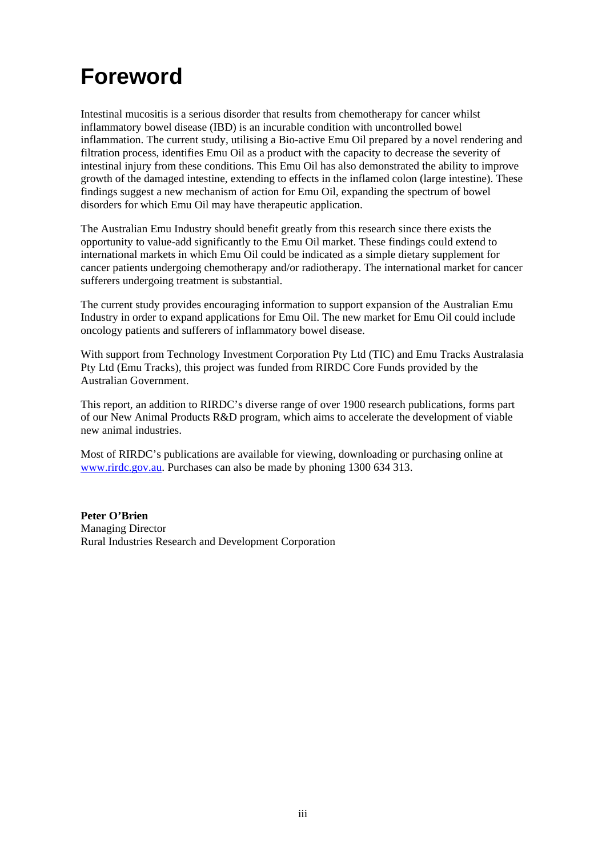### <span id="page-4-0"></span>**Foreword**

Intestinal mucositis is a serious disorder that results from chemotherapy for cancer whilst inflammatory bowel disease (IBD) is an incurable condition with uncontrolled bowel inflammation. The current study, utilising a Bio-active Emu Oil prepared by a novel rendering and filtration process, identifies Emu Oil as a product with the capacity to decrease the severity of intestinal injury from these conditions. This Emu Oil has also demonstrated the ability to improve growth of the damaged intestine, extending to effects in the inflamed colon (large intestine). These findings suggest a new mechanism of action for Emu Oil, expanding the spectrum of bowel disorders for which Emu Oil may have therapeutic application.

The Australian Emu Industry should benefit greatly from this research since there exists the opportunity to value-add significantly to the Emu Oil market. These findings could extend to international markets in which Emu Oil could be indicated as a simple dietary supplement for cancer patients undergoing chemotherapy and/or radiotherapy. The international market for cancer sufferers undergoing treatment is substantial.

The current study provides encouraging information to support expansion of the Australian Emu Industry in order to expand applications for Emu Oil. The new market for Emu Oil could include oncology patients and sufferers of inflammatory bowel disease.

With support from Technology Investment Corporation Pty Ltd (TIC) and Emu Tracks Australasia Pty Ltd (Emu Tracks), this project was funded from RIRDC Core Funds provided by the Australian Government.

This report, an addition to RIRDC's diverse range of over 1900 research publications, forms part of our New Animal Products R&D program, which aims to accelerate the development of viable new animal industries.

Most of RIRDC's publications are available for viewing, downloading or purchasing online at [www.rirdc.gov.au](http://www.rirdc.gov.au/). Purchases can also be made by phoning 1300 634 313.

**Peter O'Brien**  Managing Director Rural Industries Research and Development Corporation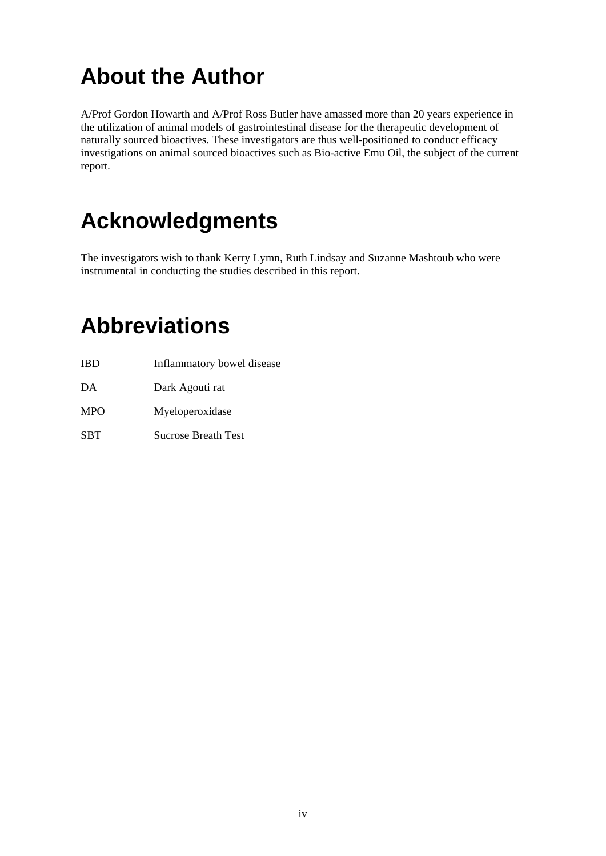## <span id="page-5-0"></span>**About the Author**

A/Prof Gordon Howarth and A/Prof Ross Butler have amassed more than 20 years experience in the utilization of animal models of gastrointestinal disease for the therapeutic development of naturally sourced bioactives. These investigators are thus well-positioned to conduct efficacy investigations on animal sourced bioactives such as Bio-active Emu Oil, the subject of the current report.

### **Acknowledgments**

The investigators wish to thank Kerry Lymn, Ruth Lindsay and Suzanne Mashtoub who were instrumental in conducting the studies described in this report.

### **Abbreviations**

- IBD Inflammatory bowel disease DA Dark Agouti rat
- MPO Myeloperoxidase
- SBT Sucrose Breath Test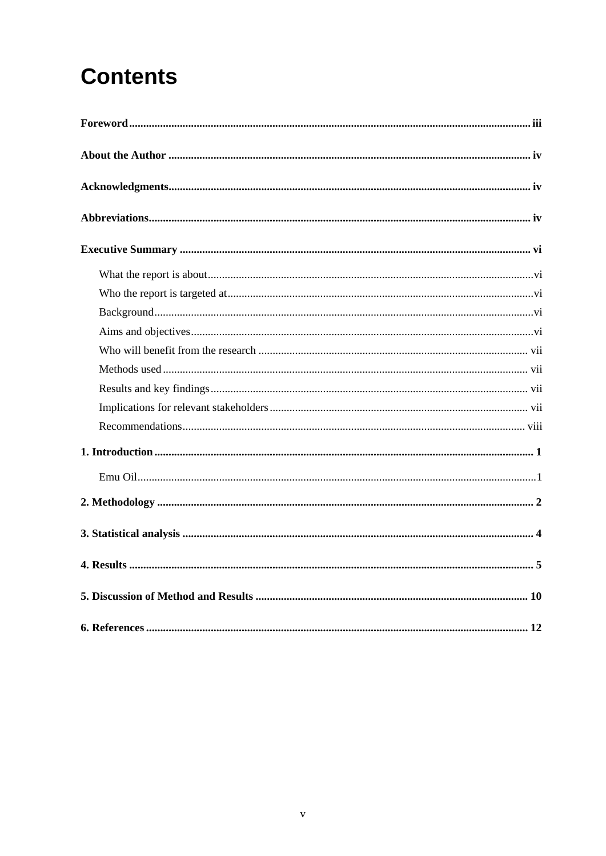# **Contents**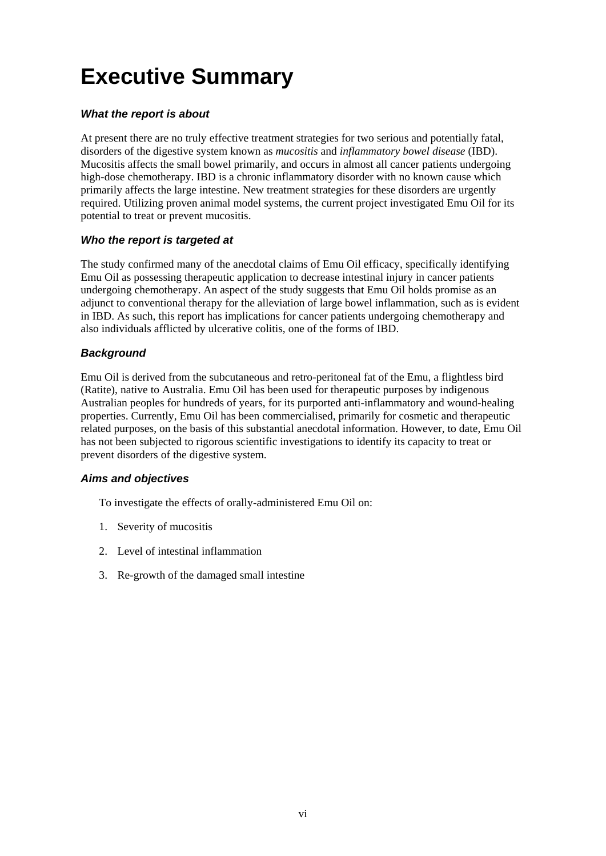## <span id="page-7-0"></span>**Executive Summary**

#### *What the report is about*

At present there are no truly effective treatment strategies for two serious and potentially fatal, disorders of the digestive system known as *mucositis* and *inflammatory bowel disease* (IBD). Mucositis affects the small bowel primarily, and occurs in almost all cancer patients undergoing high-dose chemotherapy. IBD is a chronic inflammatory disorder with no known cause which primarily affects the large intestine. New treatment strategies for these disorders are urgently required. Utilizing proven animal model systems, the current project investigated Emu Oil for its potential to treat or prevent mucositis.

#### *Who the report is targeted at*

The study confirmed many of the anecdotal claims of Emu Oil efficacy, specifically identifying Emu Oil as possessing therapeutic application to decrease intestinal injury in cancer patients undergoing chemotherapy. An aspect of the study suggests that Emu Oil holds promise as an adjunct to conventional therapy for the alleviation of large bowel inflammation, such as is evident in IBD. As such, this report has implications for cancer patients undergoing chemotherapy and also individuals afflicted by ulcerative colitis, one of the forms of IBD.

#### *Background*

Emu Oil is derived from the subcutaneous and retro-peritoneal fat of the Emu, a flightless bird (Ratite), native to Australia. Emu Oil has been used for therapeutic purposes by indigenous Australian peoples for hundreds of years, for its purported anti-inflammatory and wound-healing properties. Currently, Emu Oil has been commercialised, primarily for cosmetic and therapeutic related purposes, on the basis of this substantial anecdotal information. However, to date, Emu Oil has not been subjected to rigorous scientific investigations to identify its capacity to treat or prevent disorders of the digestive system.

#### *Aims and objectives*

To investigate the effects of orally-administered Emu Oil on:

- 1. Severity of mucositis
- 2. Level of intestinal inflammation
- 3. Re-growth of the damaged small intestine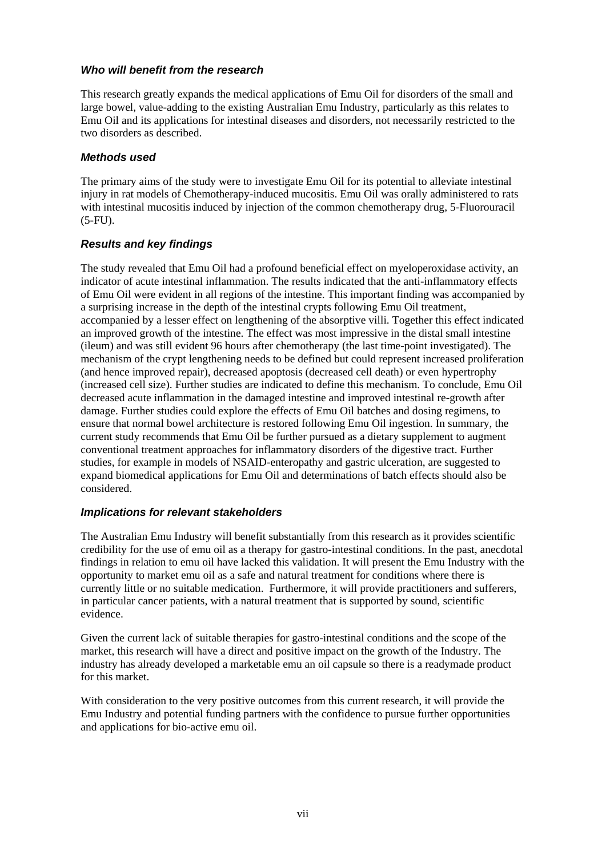#### <span id="page-8-0"></span>*Who will benefit from the research*

This research greatly expands the medical applications of Emu Oil for disorders of the small and large bowel, value-adding to the existing Australian Emu Industry, particularly as this relates to Emu Oil and its applications for intestinal diseases and disorders, not necessarily restricted to the two disorders as described.

#### *Methods used*

The primary aims of the study were to investigate Emu Oil for its potential to alleviate intestinal injury in rat models of Chemotherapy-induced mucositis. Emu Oil was orally administered to rats with intestinal mucositis induced by injection of the common chemotherapy drug, 5-Fluorouracil (5-FU).

#### *Results and key findings*

The study revealed that Emu Oil had a profound beneficial effect on myeloperoxidase activity, an indicator of acute intestinal inflammation. The results indicated that the anti-inflammatory effects of Emu Oil were evident in all regions of the intestine. This important finding was accompanied by a surprising increase in the depth of the intestinal crypts following Emu Oil treatment, accompanied by a lesser effect on lengthening of the absorptive villi. Together this effect indicated an improved growth of the intestine. The effect was most impressive in the distal small intestine (ileum) and was still evident 96 hours after chemotherapy (the last time-point investigated). The mechanism of the crypt lengthening needs to be defined but could represent increased proliferation (and hence improved repair), decreased apoptosis (decreased cell death) or even hypertrophy (increased cell size). Further studies are indicated to define this mechanism. To conclude, Emu Oil decreased acute inflammation in the damaged intestine and improved intestinal re-growth after damage. Further studies could explore the effects of Emu Oil batches and dosing regimens, to ensure that normal bowel architecture is restored following Emu Oil ingestion. In summary, the current study recommends that Emu Oil be further pursued as a dietary supplement to augment conventional treatment approaches for inflammatory disorders of the digestive tract. Further studies, for example in models of NSAID-enteropathy and gastric ulceration, are suggested to expand biomedical applications for Emu Oil and determinations of batch effects should also be considered.

#### *Implications for relevant stakeholders*

The Australian Emu Industry will benefit substantially from this research as it provides scientific credibility for the use of emu oil as a therapy for gastro-intestinal conditions. In the past, anecdotal findings in relation to emu oil have lacked this validation. It will present the Emu Industry with the opportunity to market emu oil as a safe and natural treatment for conditions where there is currently little or no suitable medication. Furthermore, it will provide practitioners and sufferers, in particular cancer patients, with a natural treatment that is supported by sound, scientific evidence.

Given the current lack of suitable therapies for gastro-intestinal conditions and the scope of the market, this research will have a direct and positive impact on the growth of the Industry. The industry has already developed a marketable emu an oil capsule so there is a readymade product for this market.

With consideration to the very positive outcomes from this current research, it will provide the Emu Industry and potential funding partners with the confidence to pursue further opportunities and applications for bio-active emu oil.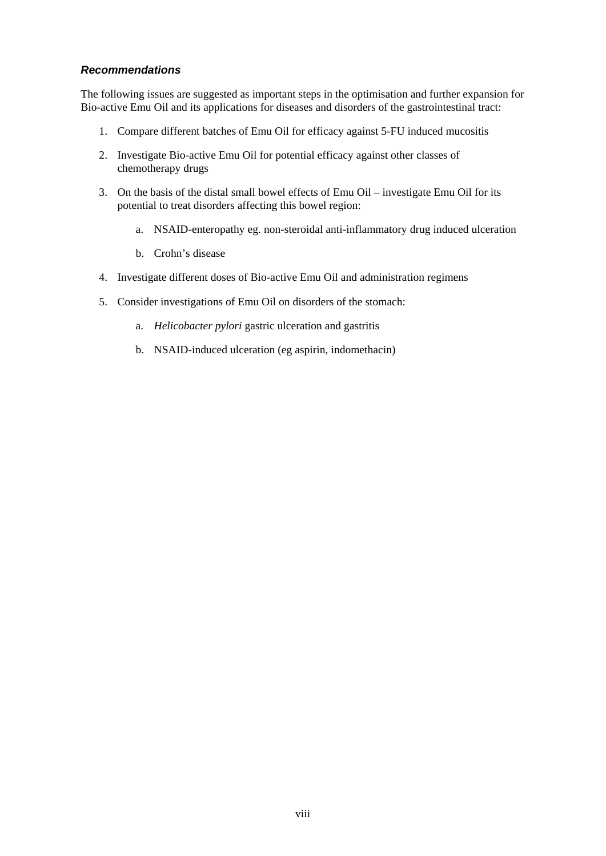#### <span id="page-9-0"></span>*Recommendations*

The following issues are suggested as important steps in the optimisation and further expansion for Bio-active Emu Oil and its applications for diseases and disorders of the gastrointestinal tract:

- 1. Compare different batches of Emu Oil for efficacy against 5-FU induced mucositis
- 2. Investigate Bio-active Emu Oil for potential efficacy against other classes of chemotherapy drugs
- 3. On the basis of the distal small bowel effects of Emu Oil investigate Emu Oil for its potential to treat disorders affecting this bowel region:
	- a. NSAID-enteropathy eg. non-steroidal anti-inflammatory drug induced ulceration
	- b. Crohn's disease
- 4. Investigate different doses of Bio-active Emu Oil and administration regimens
- 5. Consider investigations of Emu Oil on disorders of the stomach:
	- a. *Helicobacter pylori* gastric ulceration and gastritis
	- b. NSAID-induced ulceration (eg aspirin, indomethacin)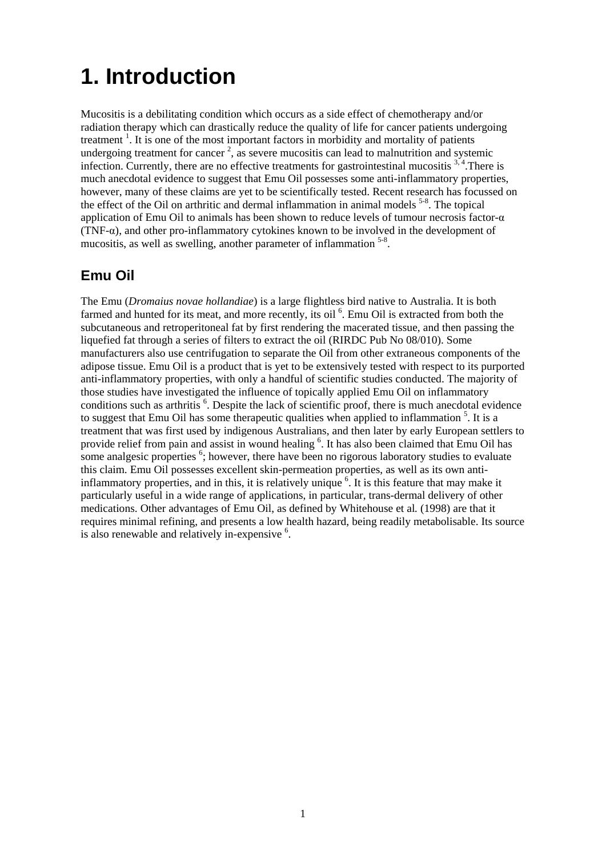### <span id="page-10-0"></span>**1. Introduction**

Mucositis is a debilitating condition which occurs as a side effect of chemotherapy and/or radiation therapy which can drastically reduce the quality of life for cancer patients undergoing treatment<sup>1</sup>. It is one of the most important factors in morbidity and mortality of patients undergoing treatment for cancer<sup>2</sup>, as severe mucositis can lead to malnutrition and systemic infection. Currently, there are no effective treatments for gastrointestinal mucositis  $3,4$ . There is much anecdotal evidence to suggest that Emu Oil possesses some anti-inflammatory properties, however, many of these claims are yet to be scientifically tested. Recent research has focussed on the effect of the Oil on arthritic and dermal inflammation in animal models  $5-8$ . The topical application of Emu Oil to animals has been shown to reduce levels of tumour necrosis factor-α (TNF-α), and other pro-inflammatory cytokines known to be involved in the development of mucositis, as well as swelling, another parameter of inflammation  $5-8$ .

### **Emu Oil**

The Emu (*Dromaius novae hollandiae*) is a large flightless bird native to Australia. It is both farmed and hunted for its meat, and more recently, its oil <sup>6</sup>. Emu Oil is extracted from both the subcutaneous and retroperitoneal fat by first rendering the macerated tissue, and then passing the liquefied fat through a series of filters to extract the oil (RIRDC Pub No 08/010). Some manufacturers also use centrifugation to separate the Oil from other extraneous components of the adipose tissue. Emu Oil is a product that is yet to be extensively tested with respect to its purported anti-inflammatory properties, with only a handful of scientific studies conducted. The majority of those studies have investigated the influence of topically applied Emu Oil on inflammatory conditions such as arthritis <sup>6</sup>. Despite the lack of scientific proof, there is much anecdotal evidence to suggest that Emu Oil has some therapeutic qualities when applied to inflammation<sup>5</sup>. It is a treatment that was first used by indigenous Australians, and then later by early European settlers to provide relief from pain and assist in wound healing <sup>6</sup>. It has also been claimed that Emu Oil has some analgesic properties  $<sup>6</sup>$ ; however, there have been no rigorous laboratory studies to evaluate</sup> this claim. Emu Oil possesses excellent skin-permeation properties, as well as its own antiinflammatory properties, and in this, it is relatively unique <sup>6</sup>. It is this feature that may make it particularly useful in a wide range of applications, in particular, trans-dermal delivery of other medications. Other advantages of Emu Oil, as defined by Whitehouse et al*.* (1998) are that it requires minimal refining, and presents a low health hazard, being readily metabolisable. Its source is also renewable and relatively in-expensive  $6$ .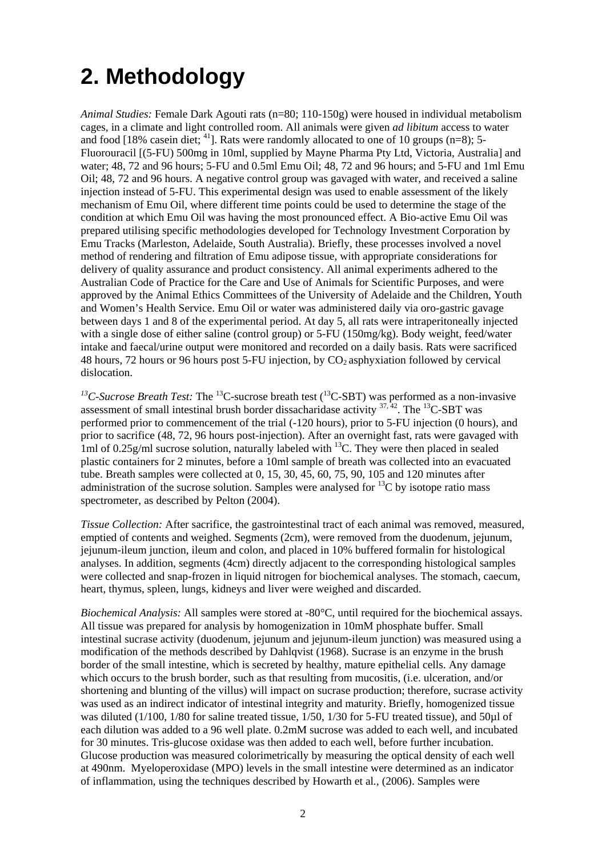### <span id="page-11-0"></span>**2. Methodology**

*Animal Studies:* Female Dark Agouti rats (n=80; 110-150g) were housed in individual metabolism cages, in a climate and light controlled room. All animals were given *ad libitum* access to water and food [18% casein diet;  $^{41}$ ]. Rats were randomly allocated to one of 10 groups (n=8); 5-Fluorouracil [(5-FU) 500mg in 10ml, supplied by Mayne Pharma Pty Ltd, Victoria, Australia] and water; 48, 72 and 96 hours; 5-FU and 0.5ml Emu Oil; 48, 72 and 96 hours; and 5-FU and 1ml Emu Oil; 48, 72 and 96 hours. A negative control group was gavaged with water, and received a saline injection instead of 5-FU. This experimental design was used to enable assessment of the likely mechanism of Emu Oil, where different time points could be used to determine the stage of the condition at which Emu Oil was having the most pronounced effect. A Bio-active Emu Oil was prepared utilising specific methodologies developed for Technology Investment Corporation by Emu Tracks (Marleston, Adelaide, South Australia). Briefly, these processes involved a novel method of rendering and filtration of Emu adipose tissue, with appropriate considerations for delivery of quality assurance and product consistency. All animal experiments adhered to the Australian Code of Practice for the Care and Use of Animals for Scientific Purposes, and were approved by the Animal Ethics Committees of the University of Adelaide and the Children, Youth and Women's Health Service. Emu Oil or water was administered daily via oro-gastric gavage between days 1 and 8 of the experimental period. At day 5, all rats were intraperitoneally injected with a single dose of either saline (control group) or 5-FU (150mg/kg). Body weight, feed/water intake and faecal/urine output were monitored and recorded on a daily basis. Rats were sacrificed 48 hours, 72 hours or 96 hours post 5-FU injection, by  $CO<sub>2</sub>$  asphyxiation followed by cervical dislocation.

<sup>13</sup>C-Sucrose Breath Test: The <sup>13</sup>C-sucrose breath test (<sup>13</sup>C-SBT) was performed as a non-invasive assessment of small intestinal brush border dissacharidase activity  $37,42$ . The  $13C$ -SBT was performed prior to commencement of the trial (-120 hours), prior to 5-FU injection (0 hours), and prior to sacrifice (48, 72, 96 hours post-injection). After an overnight fast, rats were gavaged with 1ml of 0.25g/ml sucrose solution, naturally labeled with <sup>13</sup>C. They were then placed in sealed plastic containers for 2 minutes, before a 10ml sample of breath was collected into an evacuated tube. Breath samples were collected at 0, 15, 30, 45, 60, 75, 90, 105 and 120 minutes after administration of the sucrose solution. Samples were analysed for  ${}^{13}C$  by isotope ratio mass spectrometer, as described by Pelton (2004).

*Tissue Collection:* After sacrifice, the gastrointestinal tract of each animal was removed, measured, emptied of contents and weighed. Segments (2cm), were removed from the duodenum, jejunum, jejunum-ileum junction, ileum and colon, and placed in 10% buffered formalin for histological analyses. In addition, segments (4cm) directly adjacent to the corresponding histological samples were collected and snap-frozen in liquid nitrogen for biochemical analyses. The stomach, caecum, heart, thymus, spleen, lungs, kidneys and liver were weighed and discarded.

*Biochemical Analysis:* All samples were stored at -80°C, until required for the biochemical assays. All tissue was prepared for analysis by homogenization in 10mM phosphate buffer. Small intestinal sucrase activity (duodenum, jejunum and jejunum-ileum junction) was measured using a modification of the methods described by Dahlqvist (1968). Sucrase is an enzyme in the brush border of the small intestine, which is secreted by healthy, mature epithelial cells. Any damage which occurs to the brush border, such as that resulting from mucositis, (i.e. ulceration, and/or shortening and blunting of the villus) will impact on sucrase production; therefore, sucrase activity was used as an indirect indicator of intestinal integrity and maturity. Briefly, homogenized tissue was diluted (1/100, 1/80 for saline treated tissue, 1/50, 1/30 for 5-FU treated tissue), and 50µl of each dilution was added to a 96 well plate. 0.2mM sucrose was added to each well, and incubated for 30 minutes. Tris-glucose oxidase was then added to each well, before further incubation. Glucose production was measured colorimetrically by measuring the optical density of each well at 490nm. Myeloperoxidase (MPO) levels in the small intestine were determined as an indicator of inflammation, using the techniques described by Howarth et al*.,* (2006). Samples were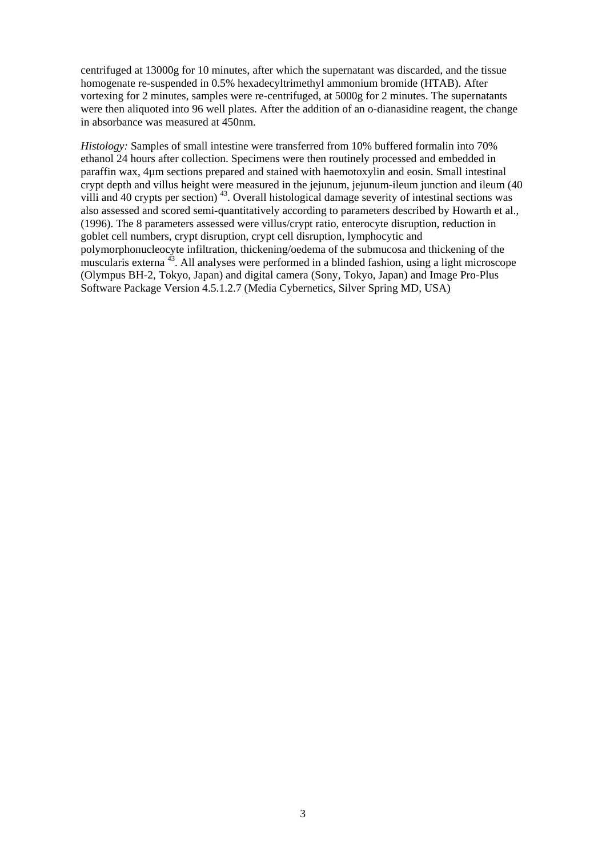centrifuged at 13000g for 10 minutes, after which the supernatant was discarded, and the tissue homogenate re-suspended in 0.5% hexadecyltrimethyl ammonium bromide (HTAB). After vortexing for 2 minutes, samples were re-centrifuged, at 5000g for 2 minutes. The supernatants were then aliquoted into 96 well plates. After the addition of an o-dianasidine reagent, the change in absorbance was measured at 450nm.

*Histology:* Samples of small intestine were transferred from 10% buffered formalin into 70% ethanol 24 hours after collection. Specimens were then routinely processed and embedded in paraffin wax, 4µm sections prepared and stained with haemotoxylin and eosin. Small intestinal crypt depth and villus height were measured in the jejunum, jejunum-ileum junction and ileum (40 villi and 40 crypts per section)<sup>43</sup>. Overall histological damage severity of intestinal sections was also assessed and scored semi-quantitatively according to parameters described by Howarth et al., (1996). The 8 parameters assessed were villus/crypt ratio, enterocyte disruption, reduction in goblet cell numbers, crypt disruption, crypt cell disruption, lymphocytic and polymorphonucleocyte infiltration, thickening/oedema of the submucosa and thickening of the muscularis externa 43. All analyses were performed in a blinded fashion, using a light microscope (Olympus BH-2, Tokyo, Japan) and digital camera (Sony, Tokyo, Japan) and Image Pro-Plus Software Package Version 4.5.1.2.7 (Media Cybernetics, Silver Spring MD, USA)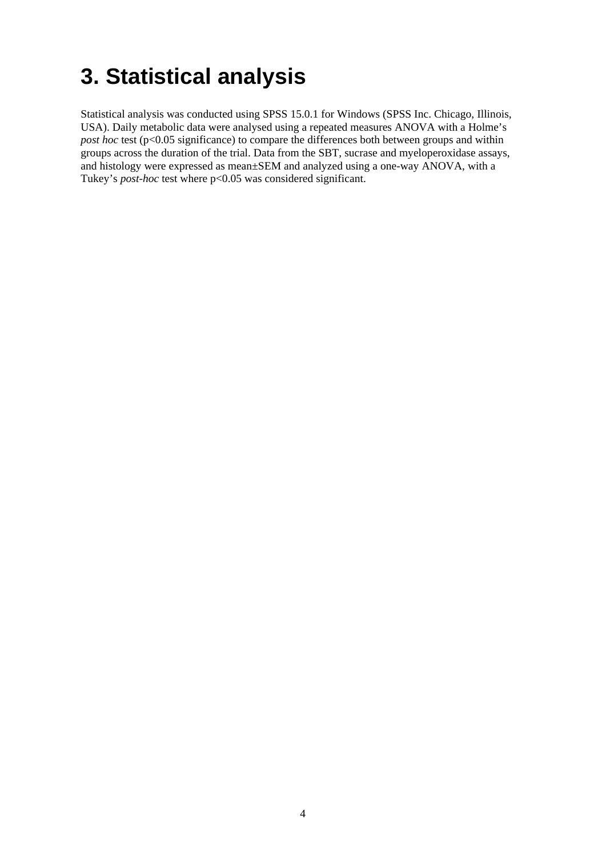## <span id="page-13-0"></span>**3. Statistical analysis**

Statistical analysis was conducted using SPSS 15.0.1 for Windows (SPSS Inc. Chicago, Illinois, USA). Daily metabolic data were analysed using a repeated measures ANOVA with a Holme's *post hoc* test (p<0.05 significance) to compare the differences both between groups and within groups across the duration of the trial. Data from the SBT, sucrase and myeloperoxidase assays, and histology were expressed as mean±SEM and analyzed using a one-way ANOVA, with a Tukey's *post-hoc* test where p<0.05 was considered significant.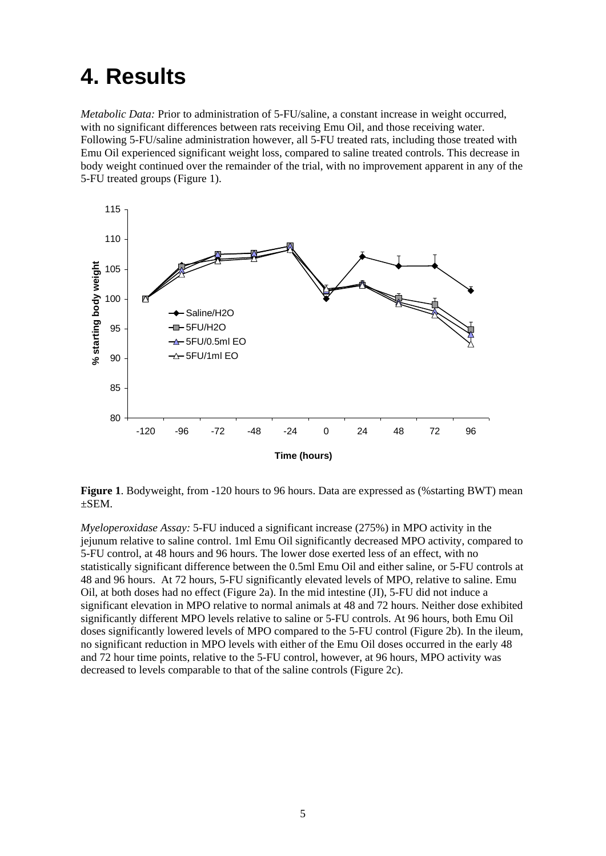### <span id="page-14-0"></span>**4. Results**

*Metabolic Data:* Prior to administration of 5-FU/saline, a constant increase in weight occurred, with no significant differences between rats receiving Emu Oil, and those receiving water. Following 5-FU/saline administration however, all 5-FU treated rats, including those treated with Emu Oil experienced significant weight loss, compared to saline treated controls. This decrease in body weight continued over the remainder of the trial, with no improvement apparent in any of the 5-FU treated groups (Figure 1).



**Figure 1**. Bodyweight, from -120 hours to 96 hours. Data are expressed as (%starting BWT) mean ±SEM.

*Myeloperoxidase Assay:* 5-FU induced a significant increase (275%) in MPO activity in the jejunum relative to saline control. 1ml Emu Oil significantly decreased MPO activity, compared to 5-FU control, at 48 hours and 96 hours. The lower dose exerted less of an effect, with no statistically significant difference between the 0.5ml Emu Oil and either saline, or 5-FU controls at 48 and 96 hours. At 72 hours, 5-FU significantly elevated levels of MPO, relative to saline. Emu Oil, at both doses had no effect (Figure 2a). In the mid intestine (JI), 5-FU did not induce a significant elevation in MPO relative to normal animals at 48 and 72 hours. Neither dose exhibited significantly different MPO levels relative to saline or 5-FU controls. At 96 hours, both Emu Oil doses significantly lowered levels of MPO compared to the 5-FU control (Figure 2b). In the ileum, no significant reduction in MPO levels with either of the Emu Oil doses occurred in the early 48 and 72 hour time points, relative to the 5-FU control, however, at 96 hours, MPO activity was decreased to levels comparable to that of the saline controls (Figure 2c).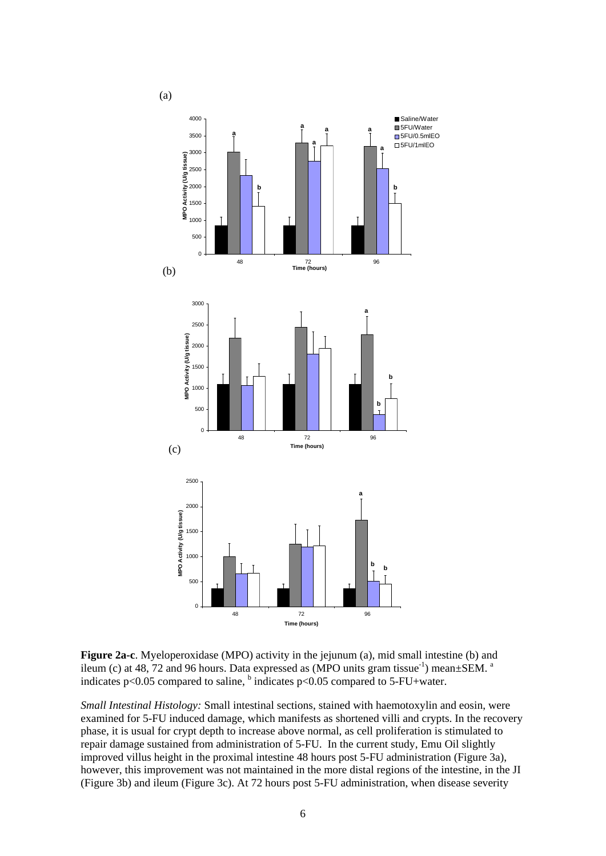

**Figure 2a-c**. Myeloperoxidase (MPO) activity in the jejunum (a), mid small intestine (b) and ileum (c) at 48, 72 and 96 hours. Data expressed as  $(MPO$  units gram tissue<sup>-1</sup>) mean $\pm$ SEM. <sup>a</sup> indicates p<0.05 compared to saline,  $\frac{b}{c}$  indicates p<0.05 compared to 5-FU+water.

*Small Intestinal Histology:* Small intestinal sections, stained with haemotoxylin and eosin, were examined for 5-FU induced damage, which manifests as shortened villi and crypts. In the recovery phase, it is usual for crypt depth to increase above normal, as cell proliferation is stimulated to repair damage sustained from administration of 5-FU. In the current study, Emu Oil slightly improved villus height in the proximal intestine 48 hours post 5-FU administration (Figure 3a), however, this improvement was not maintained in the more distal regions of the intestine, in the JI (Figure 3b) and ileum (Figure 3c). At 72 hours post 5-FU administration, when disease severity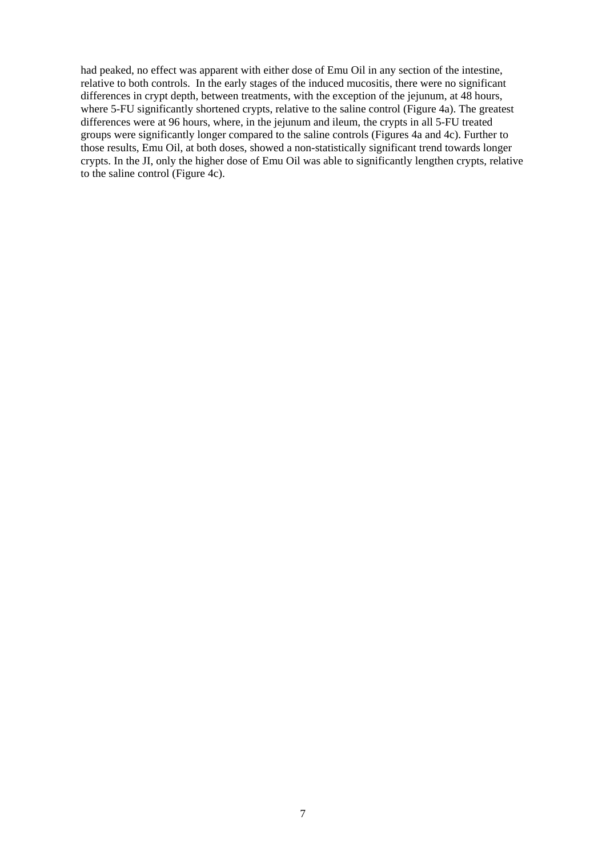had peaked, no effect was apparent with either dose of Emu Oil in any section of the intestine, relative to both controls. In the early stages of the induced mucositis, there were no significant differences in crypt depth, between treatments, with the exception of the jejunum, at 48 hours, where 5-FU significantly shortened crypts, relative to the saline control (Figure 4a). The greatest differences were at 96 hours, where, in the jejunum and ileum, the crypts in all 5-FU treated groups were significantly longer compared to the saline controls (Figures 4a and 4c). Further to those results, Emu Oil, at both doses, showed a non-statistically significant trend towards longer crypts. In the JI, only the higher dose of Emu Oil was able to significantly lengthen crypts, relative to the saline control (Figure 4c).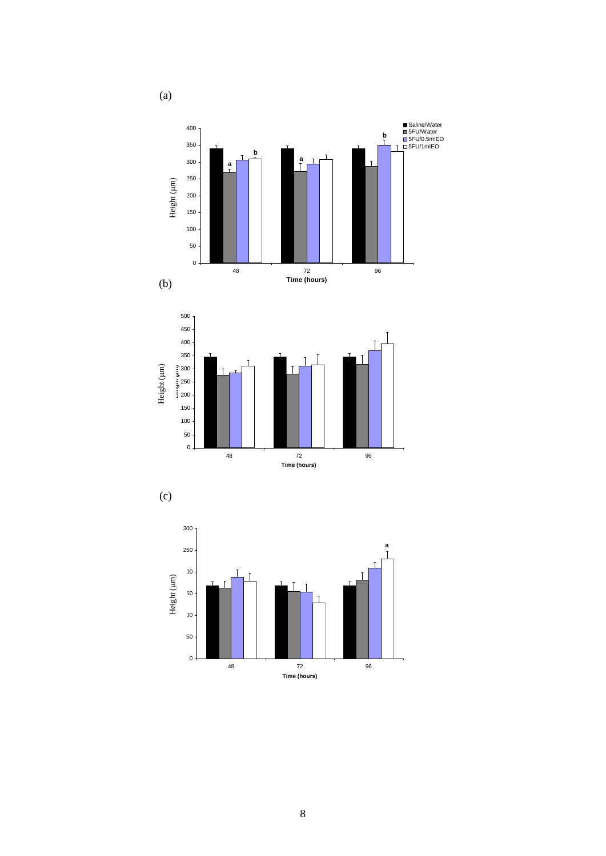







(a)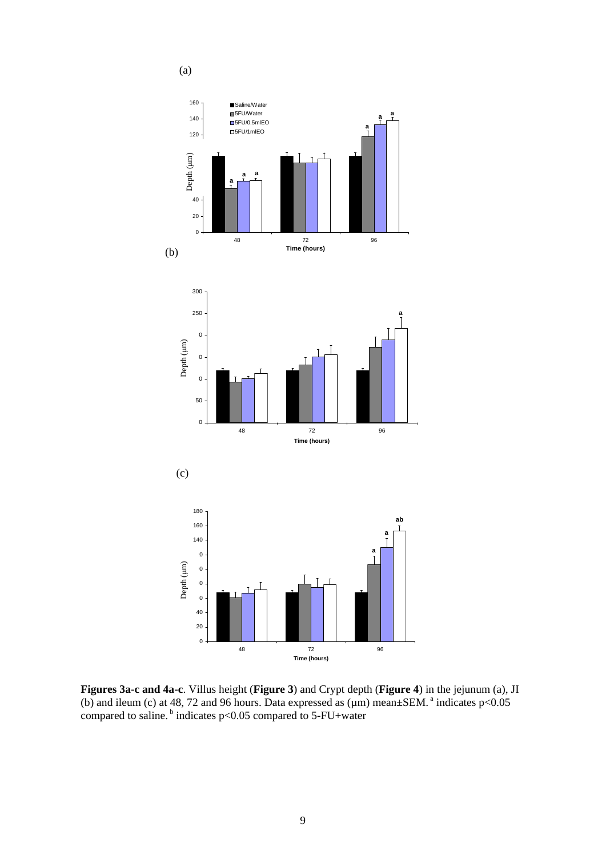

**Figures 3a-c and 4a-c**. Villus height (**Figure 3**) and Crypt depth (**Figure 4**) in the jejunum (a), JI (b) and ileum (c) at 48, 72 and 96 hours. Data expressed as  $(\mu m)$  mean $\pm$ SEM.<sup>a</sup> indicates p<0.05 compared to saline.<sup>b</sup> indicates p<0.05 compared to 5-FU+water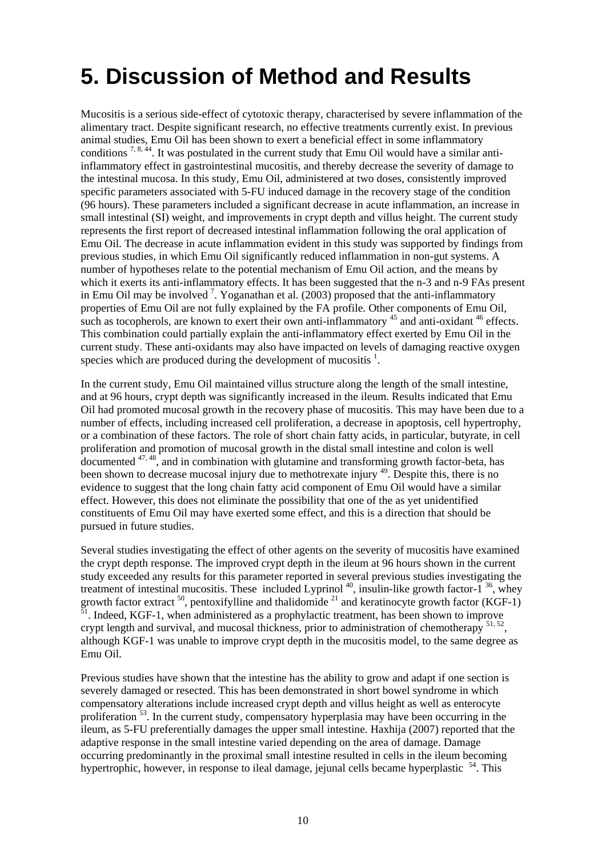### <span id="page-19-0"></span>**5. Discussion of Method and Results**

Mucositis is a serious side-effect of cytotoxic therapy, characterised by severe inflammation of the alimentary tract. Despite significant research, no effective treatments currently exist. In previous animal studies, Emu Oil has been shown to exert a beneficial effect in some inflammatory conditions  $^{7, 8, 44}$ . It was postulated in the current study that Emu Oil would have a similar antiinflammatory effect in gastrointestinal mucositis, and thereby decrease the severity of damage to the intestinal mucosa. In this study, Emu Oil, administered at two doses, consistently improved specific parameters associated with 5-FU induced damage in the recovery stage of the condition (96 hours). These parameters included a significant decrease in acute inflammation, an increase in small intestinal (SI) weight, and improvements in crypt depth and villus height. The current study represents the first report of decreased intestinal inflammation following the oral application of Emu Oil. The decrease in acute inflammation evident in this study was supported by findings from previous studies, in which Emu Oil significantly reduced inflammation in non-gut systems. A number of hypotheses relate to the potential mechanism of Emu Oil action, and the means by which it exerts its anti-inflammatory effects. It has been suggested that the n-3 and n-9 FAs present in Emu Oil may be involved<sup>7</sup>. Yoganathan et al. (2003) proposed that the anti-inflammatory properties of Emu Oil are not fully explained by the FA profile. Other components of Emu Oil, such as tocopherols, are known to exert their own anti-inflammatory  $45$  and anti-oxidant  $46$  effects. This combination could partially explain the anti-inflammatory effect exerted by Emu Oil in the current study. These anti-oxidants may also have impacted on levels of damaging reactive oxygen species which are produced during the development of mucositis  $1$ .

In the current study, Emu Oil maintained villus structure along the length of the small intestine, and at 96 hours, crypt depth was significantly increased in the ileum. Results indicated that Emu Oil had promoted mucosal growth in the recovery phase of mucositis. This may have been due to a number of effects, including increased cell proliferation, a decrease in apoptosis, cell hypertrophy, or a combination of these factors. The role of short chain fatty acids, in particular, butyrate, in cell proliferation and promotion of mucosal growth in the distal small intestine and colon is well  $\alpha$  documented  $47,48$ , and in combination with glutamine and transforming growth factor-beta, has been shown to decrease mucosal injury due to methotrexate injury <sup>49</sup>. Despite this, there is no evidence to suggest that the long chain fatty acid component of Emu Oil would have a similar effect. However, this does not eliminate the possibility that one of the as yet unidentified constituents of Emu Oil may have exerted some effect, and this is a direction that should be pursued in future studies.

Several studies investigating the effect of other agents on the severity of mucositis have examined the crypt depth response. The improved crypt depth in the ileum at 96 hours shown in the current study exceeded any results for this parameter reported in several previous studies investigating the treatment of intestinal mucositis. These included Lyprinol<sup>40</sup>, insulin-like growth factor-1<sup>36</sup>, whey growth factor extract  $^{50}$ , pentoxifylline and thalidomide  $^{21}$  and keratinocyte growth factor (KGF-1)  $1<sup>1</sup>$ . Indeed, KGF-1, when administered as a prophylactic treatment, has been shown to improve crypt length and survival, and mucosal thickness, prior to administration of chemotherapy <sup>51, 52</sup>, although KGF-1 was unable to improve crypt depth in the mucositis model, to the same degree as Emu Oil.

Previous studies have shown that the intestine has the ability to grow and adapt if one section is severely damaged or resected. This has been demonstrated in short bowel syndrome in which compensatory alterations include increased crypt depth and villus height as well as enterocyte proliferation<sup>53</sup>. In the current study, compensatory hyperplasia may have been occurring in the ileum, as 5-FU preferentially damages the upper small intestine. Haxhija (2007) reported that the adaptive response in the small intestine varied depending on the area of damage. Damage occurring predominantly in the proximal small intestine resulted in cells in the ileum becoming hypertrophic, however, in response to ileal damage, jejunal cells became hyperplastic  $54$ . This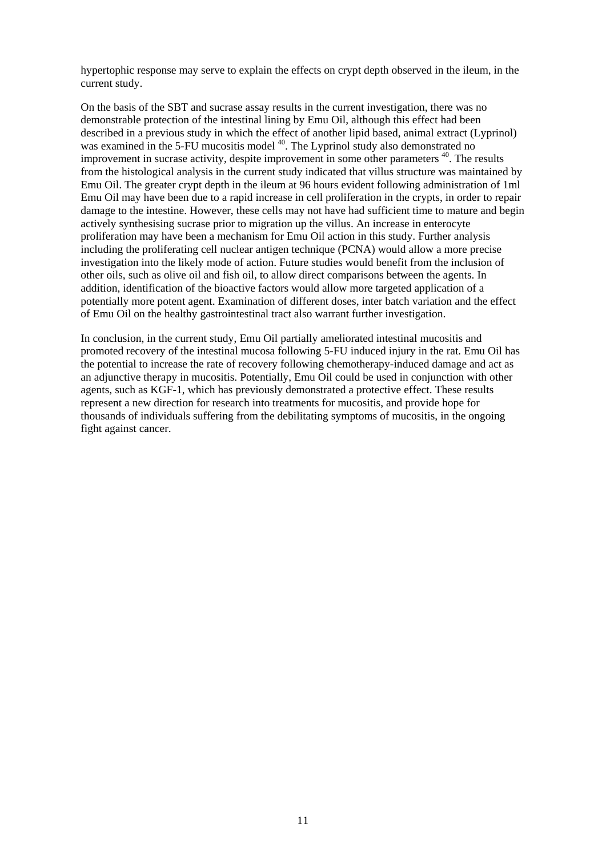hypertophic response may serve to explain the effects on crypt depth observed in the ileum, in the current study.

On the basis of the SBT and sucrase assay results in the current investigation, there was no demonstrable protection of the intestinal lining by Emu Oil, although this effect had been described in a previous study in which the effect of another lipid based, animal extract (Lyprinol) was examined in the 5-FU mucositis model <sup>40</sup>. The Lyprinol study also demonstrated no improvement in sucrase activity, despite improvement in some other parameters  $40$ . The results from the histological analysis in the current study indicated that villus structure was maintained by Emu Oil. The greater crypt depth in the ileum at 96 hours evident following administration of 1ml Emu Oil may have been due to a rapid increase in cell proliferation in the crypts, in order to repair damage to the intestine. However, these cells may not have had sufficient time to mature and begin actively synthesising sucrase prior to migration up the villus. An increase in enterocyte proliferation may have been a mechanism for Emu Oil action in this study. Further analysis including the proliferating cell nuclear antigen technique (PCNA) would allow a more precise investigation into the likely mode of action. Future studies would benefit from the inclusion of other oils, such as olive oil and fish oil, to allow direct comparisons between the agents. In addition, identification of the bioactive factors would allow more targeted application of a potentially more potent agent. Examination of different doses, inter batch variation and the effect of Emu Oil on the healthy gastrointestinal tract also warrant further investigation.

In conclusion, in the current study, Emu Oil partially ameliorated intestinal mucositis and promoted recovery of the intestinal mucosa following 5-FU induced injury in the rat. Emu Oil has the potential to increase the rate of recovery following chemotherapy-induced damage and act as an adjunctive therapy in mucositis. Potentially, Emu Oil could be used in conjunction with other agents, such as KGF-1, which has previously demonstrated a protective effect. These results represent a new direction for research into treatments for mucositis, and provide hope for thousands of individuals suffering from the debilitating symptoms of mucositis, in the ongoing fight against cancer.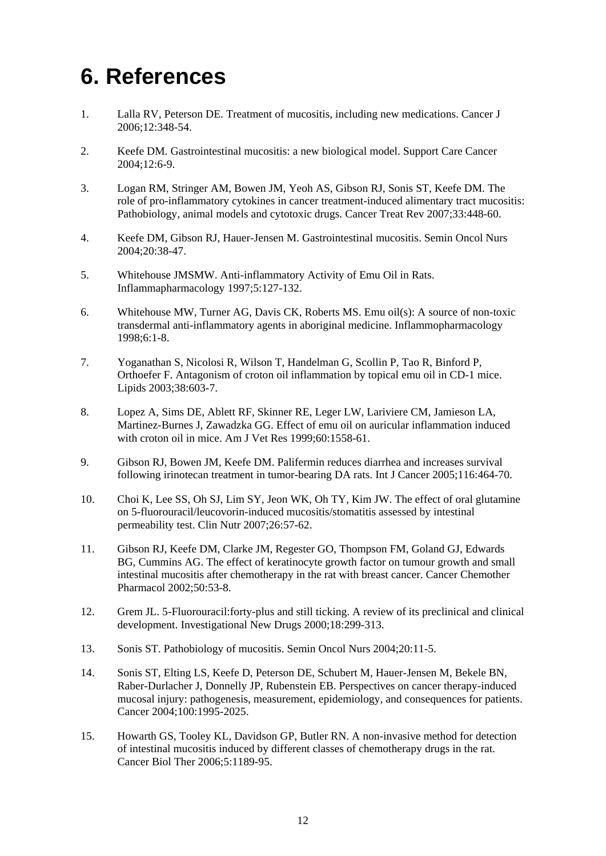### <span id="page-21-0"></span>**6. References**

- 1. Lalla RV, Peterson DE. Treatment of mucositis, including new medications. Cancer J 2006;12:348-54.
- 2. Keefe DM. Gastrointestinal mucositis: a new biological model. Support Care Cancer 2004;12:6-9.
- 3. Logan RM, Stringer AM, Bowen JM, Yeoh AS, Gibson RJ, Sonis ST, Keefe DM. The role of pro-inflammatory cytokines in cancer treatment-induced alimentary tract mucositis: Pathobiology, animal models and cytotoxic drugs. Cancer Treat Rev 2007;33:448-60.
- 4. Keefe DM, Gibson RJ, Hauer-Jensen M. Gastrointestinal mucositis. Semin Oncol Nurs 2004;20:38-47.
- 5. Whitehouse JMSMW. Anti-inflammatory Activity of Emu Oil in Rats. Inflammapharmacology 1997;5:127-132.
- 6. Whitehouse MW, Turner AG, Davis CK, Roberts MS. Emu oil(s): A source of non-toxic transdermal anti-inflammatory agents in aboriginal medicine. Inflammopharmacology 1998;6:1-8.
- 7. Yoganathan S, Nicolosi R, Wilson T, Handelman G, Scollin P, Tao R, Binford P, Orthoefer F. Antagonism of croton oil inflammation by topical emu oil in CD-1 mice. Lipids 2003;38:603-7.
- 8. Lopez A, Sims DE, Ablett RF, Skinner RE, Leger LW, Lariviere CM, Jamieson LA, Martinez-Burnes J, Zawadzka GG. Effect of emu oil on auricular inflammation induced with croton oil in mice. Am J Vet Res 1999;60:1558-61.
- 9. Gibson RJ, Bowen JM, Keefe DM. Palifermin reduces diarrhea and increases survival following irinotecan treatment in tumor-bearing DA rats. Int J Cancer 2005;116:464-70.
- 10. Choi K, Lee SS, Oh SJ, Lim SY, Jeon WK, Oh TY, Kim JW. The effect of oral glutamine on 5-fluorouracil/leucovorin-induced mucositis/stomatitis assessed by intestinal permeability test. Clin Nutr 2007;26:57-62.
- 11. Gibson RJ, Keefe DM, Clarke JM, Regester GO, Thompson FM, Goland GJ, Edwards BG, Cummins AG. The effect of keratinocyte growth factor on tumour growth and small intestinal mucositis after chemotherapy in the rat with breast cancer. Cancer Chemother Pharmacol 2002;50:53-8.
- 12. Grem JL. 5-Fluorouracil:forty-plus and still ticking. A review of its preclinical and clinical development. Investigational New Drugs 2000;18:299-313.
- 13. Sonis ST. Pathobiology of mucositis. Semin Oncol Nurs 2004;20:11-5.
- 14. Sonis ST, Elting LS, Keefe D, Peterson DE, Schubert M, Hauer-Jensen M, Bekele BN, Raber-Durlacher J, Donnelly JP, Rubenstein EB. Perspectives on cancer therapy-induced mucosal injury: pathogenesis, measurement, epidemiology, and consequences for patients. Cancer 2004;100:1995-2025.
- 15. Howarth GS, Tooley KL, Davidson GP, Butler RN. A non-invasive method for detection of intestinal mucositis induced by different classes of chemotherapy drugs in the rat. Cancer Biol Ther 2006;5:1189-95.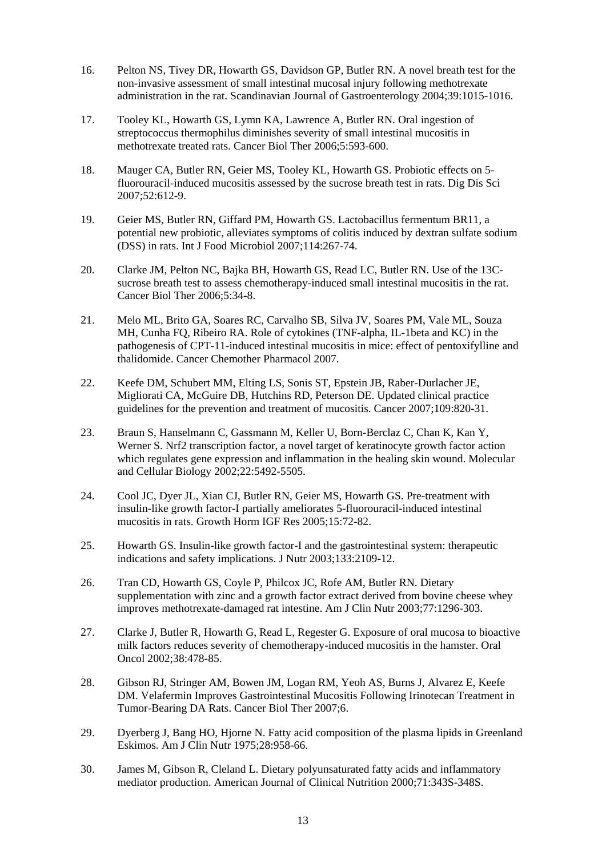- 16. Pelton NS, Tivey DR, Howarth GS, Davidson GP, Butler RN. A novel breath test for the non-invasive assessment of small intestinal mucosal injury following methotrexate administration in the rat. Scandinavian Journal of Gastroenterology 2004;39:1015-1016.
- 17. Tooley KL, Howarth GS, Lymn KA, Lawrence A, Butler RN. Oral ingestion of streptococcus thermophilus diminishes severity of small intestinal mucositis in methotrexate treated rats. Cancer Biol Ther 2006;5:593-600.
- 18. Mauger CA, Butler RN, Geier MS, Tooley KL, Howarth GS. Probiotic effects on 5 fluorouracil-induced mucositis assessed by the sucrose breath test in rats. Dig Dis Sci 2007;52:612-9.
- 19. Geier MS, Butler RN, Giffard PM, Howarth GS. Lactobacillus fermentum BR11, a potential new probiotic, alleviates symptoms of colitis induced by dextran sulfate sodium (DSS) in rats. Int J Food Microbiol 2007;114:267-74.
- 20. Clarke JM, Pelton NC, Bajka BH, Howarth GS, Read LC, Butler RN. Use of the 13Csucrose breath test to assess chemotherapy-induced small intestinal mucositis in the rat. Cancer Biol Ther 2006;5:34-8.
- 21. Melo ML, Brito GA, Soares RC, Carvalho SB, Silva JV, Soares PM, Vale ML, Souza MH, Cunha FQ, Ribeiro RA. Role of cytokines (TNF-alpha, IL-1beta and KC) in the pathogenesis of CPT-11-induced intestinal mucositis in mice: effect of pentoxifylline and thalidomide. Cancer Chemother Pharmacol 2007.
- 22. Keefe DM, Schubert MM, Elting LS, Sonis ST, Epstein JB, Raber-Durlacher JE, Migliorati CA, McGuire DB, Hutchins RD, Peterson DE. Updated clinical practice guidelines for the prevention and treatment of mucositis. Cancer 2007;109:820-31.
- 23. Braun S, Hanselmann C, Gassmann M, Keller U, Born-Berclaz C, Chan K, Kan Y, Werner S. Nrf2 transcription factor, a novel target of keratinocyte growth factor action which regulates gene expression and inflammation in the healing skin wound. Molecular and Cellular Biology 2002;22:5492-5505.
- 24. Cool JC, Dyer JL, Xian CJ, Butler RN, Geier MS, Howarth GS. Pre-treatment with insulin-like growth factor-I partially ameliorates 5-fluorouracil-induced intestinal mucositis in rats. Growth Horm IGF Res 2005;15:72-82.
- 25. Howarth GS. Insulin-like growth factor-I and the gastrointestinal system: therapeutic indications and safety implications. J Nutr 2003;133:2109-12.
- 26. Tran CD, Howarth GS, Coyle P, Philcox JC, Rofe AM, Butler RN. Dietary supplementation with zinc and a growth factor extract derived from bovine cheese whey improves methotrexate-damaged rat intestine. Am J Clin Nutr 2003;77:1296-303.
- 27. Clarke J, Butler R, Howarth G, Read L, Regester G. Exposure of oral mucosa to bioactive milk factors reduces severity of chemotherapy-induced mucositis in the hamster. Oral Oncol 2002;38:478-85.
- 28. Gibson RJ, Stringer AM, Bowen JM, Logan RM, Yeoh AS, Burns J, Alvarez E, Keefe DM. Velafermin Improves Gastrointestinal Mucositis Following Irinotecan Treatment in Tumor-Bearing DA Rats. Cancer Biol Ther 2007;6.
- 29. Dyerberg J, Bang HO, Hjorne N. Fatty acid composition of the plasma lipids in Greenland Eskimos. Am J Clin Nutr 1975;28:958-66.
- 30. James M, Gibson R, Cleland L. Dietary polyunsaturated fatty acids and inflammatory mediator production. American Journal of Clinical Nutrition 2000;71:343S-348S.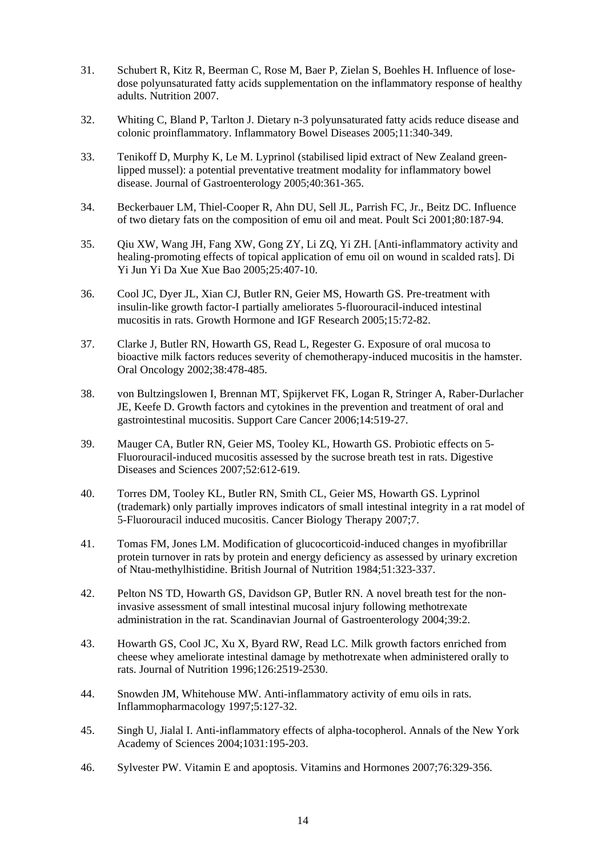- 31. Schubert R, Kitz R, Beerman C, Rose M, Baer P, Zielan S, Boehles H. Influence of losedose polyunsaturated fatty acids supplementation on the inflammatory response of healthy adults. Nutrition 2007.
- 32. Whiting C, Bland P, Tarlton J. Dietary n-3 polyunsaturated fatty acids reduce disease and colonic proinflammatory. Inflammatory Bowel Diseases 2005;11:340-349.
- 33. Tenikoff D, Murphy K, Le M. Lyprinol (stabilised lipid extract of New Zealand greenlipped mussel): a potential preventative treatment modality for inflammatory bowel disease. Journal of Gastroenterology 2005;40:361-365.
- 34. Beckerbauer LM, Thiel-Cooper R, Ahn DU, Sell JL, Parrish FC, Jr., Beitz DC. Influence of two dietary fats on the composition of emu oil and meat. Poult Sci 2001;80:187-94.
- 35. Qiu XW, Wang JH, Fang XW, Gong ZY, Li ZQ, Yi ZH. [Anti-inflammatory activity and healing-promoting effects of topical application of emu oil on wound in scalded rats]. Di Yi Jun Yi Da Xue Xue Bao 2005;25:407-10.
- 36. Cool JC, Dyer JL, Xian CJ, Butler RN, Geier MS, Howarth GS. Pre-treatment with insulin-like growth factor-I partially ameliorates 5-fluorouracil-induced intestinal mucositis in rats. Growth Hormone and IGF Research 2005;15:72-82.
- 37. Clarke J, Butler RN, Howarth GS, Read L, Regester G. Exposure of oral mucosa to bioactive milk factors reduces severity of chemotherapy-induced mucositis in the hamster. Oral Oncology 2002;38:478-485.
- 38. von Bultzingslowen I, Brennan MT, Spijkervet FK, Logan R, Stringer A, Raber-Durlacher JE, Keefe D. Growth factors and cytokines in the prevention and treatment of oral and gastrointestinal mucositis. Support Care Cancer 2006;14:519-27.
- 39. Mauger CA, Butler RN, Geier MS, Tooley KL, Howarth GS. Probiotic effects on 5- Fluorouracil-induced mucositis assessed by the sucrose breath test in rats. Digestive Diseases and Sciences 2007;52:612-619.
- 40. Torres DM, Tooley KL, Butler RN, Smith CL, Geier MS, Howarth GS. Lyprinol (trademark) only partially improves indicators of small intestinal integrity in a rat model of 5-Fluorouracil induced mucositis. Cancer Biology Therapy 2007;7.
- 41. Tomas FM, Jones LM. Modification of glucocorticoid-induced changes in myofibrillar protein turnover in rats by protein and energy deficiency as assessed by urinary excretion of Ntau-methylhistidine. British Journal of Nutrition 1984;51:323-337.
- 42. Pelton NS TD, Howarth GS, Davidson GP, Butler RN. A novel breath test for the noninvasive assessment of small intestinal mucosal injury following methotrexate administration in the rat. Scandinavian Journal of Gastroenterology 2004;39:2.
- 43. Howarth GS, Cool JC, Xu X, Byard RW, Read LC. Milk growth factors enriched from cheese whey ameliorate intestinal damage by methotrexate when administered orally to rats. Journal of Nutrition 1996;126:2519-2530.
- 44. Snowden JM, Whitehouse MW. Anti-inflammatory activity of emu oils in rats. Inflammopharmacology 1997;5:127-32.
- 45. Singh U, Jialal I. Anti-inflammatory effects of alpha-tocopherol. Annals of the New York Academy of Sciences 2004;1031:195-203.
- 46. Sylvester PW. Vitamin E and apoptosis. Vitamins and Hormones 2007;76:329-356.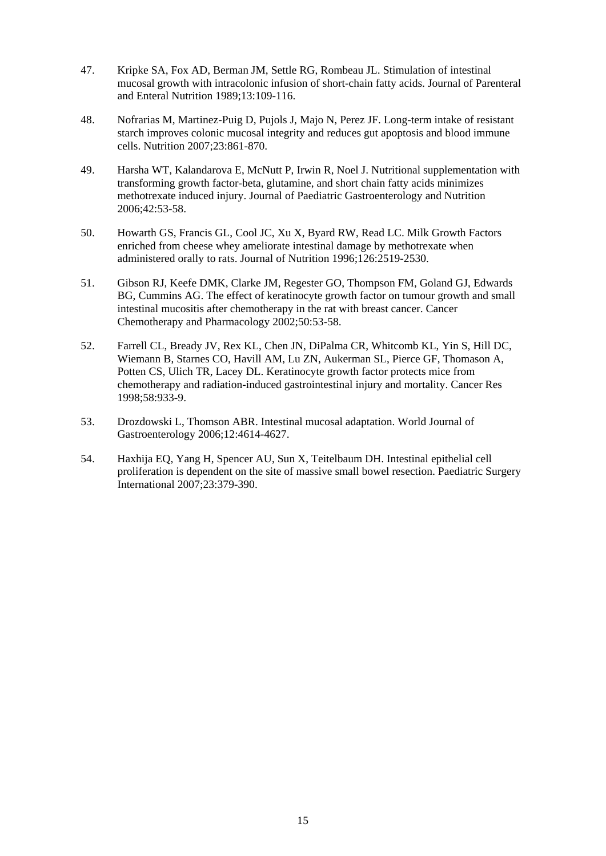- 47. Kripke SA, Fox AD, Berman JM, Settle RG, Rombeau JL. Stimulation of intestinal mucosal growth with intracolonic infusion of short-chain fatty acids. Journal of Parenteral and Enteral Nutrition 1989;13:109-116.
- 48. Nofrarias M, Martinez-Puig D, Pujols J, Majo N, Perez JF. Long-term intake of resistant starch improves colonic mucosal integrity and reduces gut apoptosis and blood immune cells. Nutrition 2007;23:861-870.
- 49. Harsha WT, Kalandarova E, McNutt P, Irwin R, Noel J. Nutritional supplementation with transforming growth factor-beta, glutamine, and short chain fatty acids minimizes methotrexate induced injury. Journal of Paediatric Gastroenterology and Nutrition 2006;42:53-58.
- 50. Howarth GS, Francis GL, Cool JC, Xu X, Byard RW, Read LC. Milk Growth Factors enriched from cheese whey ameliorate intestinal damage by methotrexate when administered orally to rats. Journal of Nutrition 1996;126:2519-2530.
- 51. Gibson RJ, Keefe DMK, Clarke JM, Regester GO, Thompson FM, Goland GJ, Edwards BG, Cummins AG. The effect of keratinocyte growth factor on tumour growth and small intestinal mucositis after chemotherapy in the rat with breast cancer. Cancer Chemotherapy and Pharmacology 2002;50:53-58.
- 52. Farrell CL, Bready JV, Rex KL, Chen JN, DiPalma CR, Whitcomb KL, Yin S, Hill DC, Wiemann B, Starnes CO, Havill AM, Lu ZN, Aukerman SL, Pierce GF, Thomason A, Potten CS, Ulich TR, Lacey DL. Keratinocyte growth factor protects mice from chemotherapy and radiation-induced gastrointestinal injury and mortality. Cancer Res 1998;58:933-9.
- 53. Drozdowski L, Thomson ABR. Intestinal mucosal adaptation. World Journal of Gastroenterology 2006;12:4614-4627.
- 54. Haxhija EQ, Yang H, Spencer AU, Sun X, Teitelbaum DH. Intestinal epithelial cell proliferation is dependent on the site of massive small bowel resection. Paediatric Surgery International 2007;23:379-390.